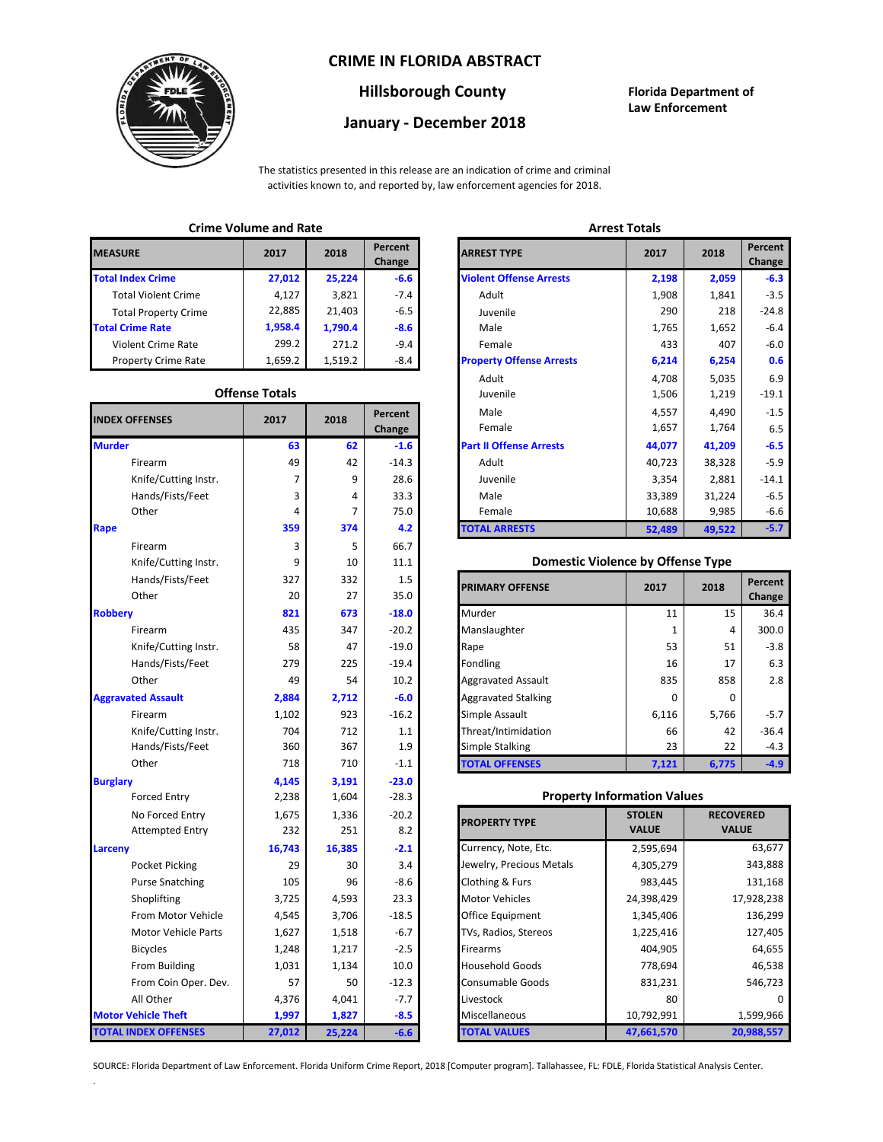### **CRIME IN FLORIDA ABSTRACT**



## **Hillsborough County Florida Department of**

# **January - December 2018**

**Law Enforcement**

The statistics presented in this release are an indication of crime and criminal activities known to, and reported by, law enforcement agencies for 2018.

## **Crime Volume and Rate Arrest Totals**

| <b>MEASURE</b>              | 2017    | 2018    | Percent<br>Change | <b>ARREST TYPE</b>             |
|-----------------------------|---------|---------|-------------------|--------------------------------|
| <b>Total Index Crime</b>    | 27,012  | 25,224  | $-6.6$            | <b>Violent Offense Arrests</b> |
| <b>Total Violent Crime</b>  | 4.127   | 3,821   | $-7.4$            | Adult                          |
| <b>Total Property Crime</b> | 22,885  | 21,403  | $-6.5$            | Juvenile                       |
| <b>Total Crime Rate</b>     | 1,958.4 | 1,790.4 | $-8.6$            | Male                           |
| Violent Crime Rate          | 299.2   | 271.2   | $-9.4$            | Female                         |
| <b>Property Crime Rate</b>  | 1,659.2 | 1.519.2 | $-8.4$            | <b>Property Offense Arrest</b> |

#### **Offense Totals**

| <b>INDEX OFFENSES</b>       | 2017   | 2018   | Percent<br>Change | Male<br>Female                           | 4,557<br>1,657 | 4,490<br>1,764   | $-1.5$<br>6.5 |
|-----------------------------|--------|--------|-------------------|------------------------------------------|----------------|------------------|---------------|
| <b>Murder</b>               | 63     | 62     | $-1.6$            | <b>Part II Offense Arrests</b>           | 44,077         | 41,209           | $-6.5$        |
| Firearm                     | 49     | 42     | $-14.3$           | Adult                                    | 40,723         | 38,328           | $-5.9$        |
| Knife/Cutting Instr.        | 7      | 9      | 28.6              | Juvenile                                 | 3,354          | 2,881            | $-14.1$       |
| Hands/Fists/Feet            | 3      | 4      | 33.3              | Male                                     | 33,389         | 31,224           | $-6.5$        |
| Other                       | 4      | 7      | 75.0              | Female                                   | 10,688         | 9,985            | $-6.6$        |
| Rape                        | 359    | 374    | 4.2               | <b>TOTAL ARRESTS</b>                     | 52,489         | 49,522           | $-5.7$        |
| Firearm                     | 3      | 5      | 66.7              |                                          |                |                  |               |
| Knife/Cutting Instr.        | 9      | 10     | 11.1              | <b>Domestic Violence by Offense Type</b> |                |                  |               |
| Hands/Fists/Feet            | 327    | 332    | 1.5               |                                          | 2017           |                  | Percent       |
| Other                       | 20     | 27     | 35.0              | <b>PRIMARY OFFENSE</b>                   |                | 2018             | Change        |
| <b>Robbery</b>              | 821    | 673    | $-18.0$           | Murder                                   | 11             | 15               | 36.4          |
| Firearm                     | 435    | 347    | $-20.2$           | Manslaughter                             | 1              | $\overline{4}$   | 300.0         |
| Knife/Cutting Instr.        | 58     | 47     | $-19.0$           | Rape                                     | 53             | 51               | $-3.8$        |
| Hands/Fists/Feet            | 279    | 225    | $-19.4$           | Fondling                                 | 16             | 17               | 6.3           |
| Other                       | 49     | 54     | 10.2              | <b>Aggravated Assault</b>                | 835            | 858              | 2.8           |
| <b>Aggravated Assault</b>   | 2,884  | 2,712  | $-6.0$            | <b>Aggravated Stalking</b>               | 0              | 0                |               |
| Firearm                     | 1,102  | 923    | $-16.2$           | Simple Assault                           | 6,116          | 5,766            | $-5.7$        |
| Knife/Cutting Instr.        | 704    | 712    | 1.1               | Threat/Intimidation                      | 66             | 42               | $-36.4$       |
| Hands/Fists/Feet            | 360    | 367    | 1.9               | Simple Stalking                          | 23             | 22               | $-4.3$        |
| Other                       | 718    | 710    | $-1.1$            | <b>TOTAL OFFENSES</b>                    | 7,121          | 6,775            | $-4.9$        |
| <b>Burglary</b>             | 4,145  | 3,191  | $-23.0$           |                                          |                |                  |               |
| <b>Forced Entry</b>         | 2,238  | 1,604  | $-28.3$           | <b>Property Information Values</b>       |                |                  |               |
| No Forced Entry             | 1,675  | 1,336  | $-20.2$           | <b>PROPERTY TYPE</b>                     | <b>STOLEN</b>  | <b>RECOVERED</b> |               |
| <b>Attempted Entry</b>      | 232    | 251    | 8.2               |                                          | <b>VALUE</b>   | <b>VALUE</b>     |               |
| Larceny                     | 16,743 | 16,385 | $-2.1$            | Currency, Note, Etc.                     | 2,595,694      |                  | 63,677        |
| Pocket Picking              | 29     | 30     | 3.4               | Jewelry, Precious Metals                 | 4,305,279      |                  | 343,888       |
| <b>Purse Snatching</b>      | 105    | 96     | $-8.6$            | <b>Clothing &amp; Furs</b>               | 983,445        |                  | 131,168       |
| Shoplifting                 | 3,725  | 4,593  | 23.3              | <b>Motor Vehicles</b>                    | 24,398,429     |                  | 17,928,238    |
| From Motor Vehicle          | 4,545  | 3,706  | $-18.5$           | Office Equipment                         | 1,345,406      |                  | 136,299       |
| <b>Motor Vehicle Parts</b>  | 1,627  | 1,518  | $-6.7$            | TVs, Radios, Stereos                     | 1,225,416      |                  | 127,405       |
| <b>Bicycles</b>             | 1,248  | 1,217  | $-2.5$            | Firearms                                 | 404,905        |                  | 64,655        |
| From Building               | 1,031  | 1,134  | 10.0              | <b>Household Goods</b>                   | 778,694        |                  | 46,538        |
| From Coin Oper. Dev.        | 57     | 50     | $-12.3$           | Consumable Goods                         | 831,231        |                  | 546,723       |
| All Other                   | 4,376  | 4,041  | $-7.7$            | Livestock                                | 80             |                  | $\Omega$      |
| <b>Motor Vehicle Theft</b>  | 1,997  | 1,827  | $-8.5$            | Miscellaneous                            | 10,792,991     |                  | 1,599,966     |
| <b>TOTAL INDEX OFFENSES</b> | 27,012 | 25,224 | $-6.6$            | <b>TOTAL VALUES</b>                      | 47,661,570     |                  | 20,988,557    |

.

| łЕ                   | 2017                  | 2018    | Percent<br>Change | <b>ARREST TYPE</b>              | 2017   | 2018   | Percent<br>Change |
|----------------------|-----------------------|---------|-------------------|---------------------------------|--------|--------|-------------------|
| dex Crime            | 27,012                | 25,224  | $-6.6$            | <b>Violent Offense Arrests</b>  | 2,198  | 2,059  |                   |
| Il Violent Crime     | 4,127                 | 3,821   | $-7.4$            | Adult                           | 1,908  | 1,841  |                   |
| Il Property Crime    | 22,885                | 21,403  | $-6.5$            | Juvenile                        | 290    | 218    |                   |
| me Rate              | 1,958.4               | 1,790.4 | $-8.6$            | Male                            | 1,765  | 1,652  |                   |
| ent Crime Rate       | 299.2                 | 271.2   | $-9.4$            | Female                          | 433    | 407    |                   |
| erty Crime Rate      | 1,659.2               | 1,519.2 | $-8.4$            | <b>Property Offense Arrests</b> | 6,214  | 6,254  |                   |
|                      |                       |         |                   | Adult                           | 4,708  | 5,035  |                   |
|                      | <b>Offense Totals</b> |         |                   | Juvenile                        | 1,506  | 1,219  |                   |
| <b>FFENSES</b>       | 2017                  | 2018    | Percent           | Male                            | 4,557  | 4,490  |                   |
|                      |                       |         | Change            | Female                          | 1,657  | 1,764  |                   |
|                      | 63                    | 62      | $-1.6$            | <b>Part II Offense Arrests</b>  | 44,077 | 41,209 |                   |
| Firearm              | 49                    | 42      | $-14.3$           | Adult                           | 40,723 | 38,328 |                   |
| Knife/Cutting Instr. |                       | 9       | 28.6              | Juvenile                        | 3,354  | 2,881  |                   |
| Hands/Fists/Feet     | 3                     | 4       | 33.3              | Male                            | 33,389 | 31,224 |                   |
| Other                | 4                     | 7       | 75.0              | Female                          | 10,688 | 9,985  |                   |
|                      | 359                   | 374     | 4.2               | <b>TOTAL ARRESTS</b>            | 52,489 | 49,522 |                   |
|                      |                       |         |                   |                                 |        |        |                   |

#### 9 **Domestic Violence by Offense Type**

| Hands/Fists/Feet<br>Other | 327<br>20 | 332<br>27 | 1.5<br>35.0 | <b>PRIMARY OFFENSE</b>     | 2017  | 2018  | Percent<br>Change |
|---------------------------|-----------|-----------|-------------|----------------------------|-------|-------|-------------------|
|                           | 821       | 673       | $-18.0$     | Murder                     | 11    | 15    | 36.4              |
| Firearm                   | 435       | 347       | $-20.2$     | Manslaughter               |       | 4     | 300.0             |
| Knife/Cutting Instr.      | 58        | 47        | $-19.0$     | Rape                       | 53    | 51    | $-3.8$            |
| Hands/Fists/Feet          | 279       | 225       | $-19.4$     | Fondling                   | 16    | 17    | 6.3               |
| Other                     | 49        | 54        | 10.2        | <b>Aggravated Assault</b>  | 835   | 858   | 2.8               |
| ted Assault               | 2,884     | 2,712     | $-6.0$      | <b>Aggravated Stalking</b> | 0     | 0     |                   |
| Firearm                   | 1,102     | 923       | $-16.2$     | Simple Assault             | 6,116 | 5,766 | $-5.7$            |
| Knife/Cutting Instr.      | 704       | 712       | 1.1         | Threat/Intimidation        | 66    | 42    | $-36.4$           |
| Hands/Fists/Feet          | 360       | 367       | 1.9         | Simple Stalking            | 23    | 22    | $-4.3$            |
| Other                     | 718       | 710       | $-1.1$      | <b>TOTAL OFFENSES</b>      | 7,121 | 6,775 | $-4.9$            |

#### **Property Information Values**

| 1,675  | 1,336  | $-20.2$ | <b>PROPERTY TYPE</b>     | <b>STOLEN</b> | <b>RECOVERED</b> |
|--------|--------|---------|--------------------------|---------------|------------------|
| 232    | 251    | 8.2     |                          | <b>VALUE</b>  | <b>VALUE</b>     |
| 16,743 | 16,385 | $-2.1$  | Currency, Note, Etc.     | 2,595,694     | 63,677           |
| 29     | 30     | 3.4     | Jewelry, Precious Metals | 4,305,279     | 343,888          |
| 105    | 96     | $-8.6$  | Clothing & Furs          | 983,445       | 131,168          |
| 3,725  | 4,593  | 23.3    | <b>Motor Vehicles</b>    | 24,398,429    | 17,928,238       |
| 4,545  | 3,706  | $-18.5$ | Office Equipment         | 1,345,406     | 136,299          |
| 1,627  | 1,518  | $-6.7$  | TVs, Radios, Stereos     | 1,225,416     | 127,405          |
| 1,248  | 1,217  | $-2.5$  | <b>Firearms</b>          | 404,905       | 64,655           |
| 1,031  | 1,134  | 10.0    | <b>Household Goods</b>   | 778,694       | 46,538           |
| 57     | 50     | $-12.3$ | <b>Consumable Goods</b>  | 831,231       | 546,723          |
| 4,376  | 4,041  | $-7.7$  | Livestock                | 80            |                  |
| 1,997  | 1,827  | $-8.5$  | Miscellaneous            | 10,792,991    | 1,599,966        |
| 27,012 | 25,224 | $-6.6$  | <b>TOTAL VALUES</b>      | 47,661,570    | 20,988,557       |

SOURCE: Florida Department of Law Enforcement. Florida Uniform Crime Report, 2018 [Computer program]. Tallahassee, FL: FDLE, Florida Statistical Analysis Center.